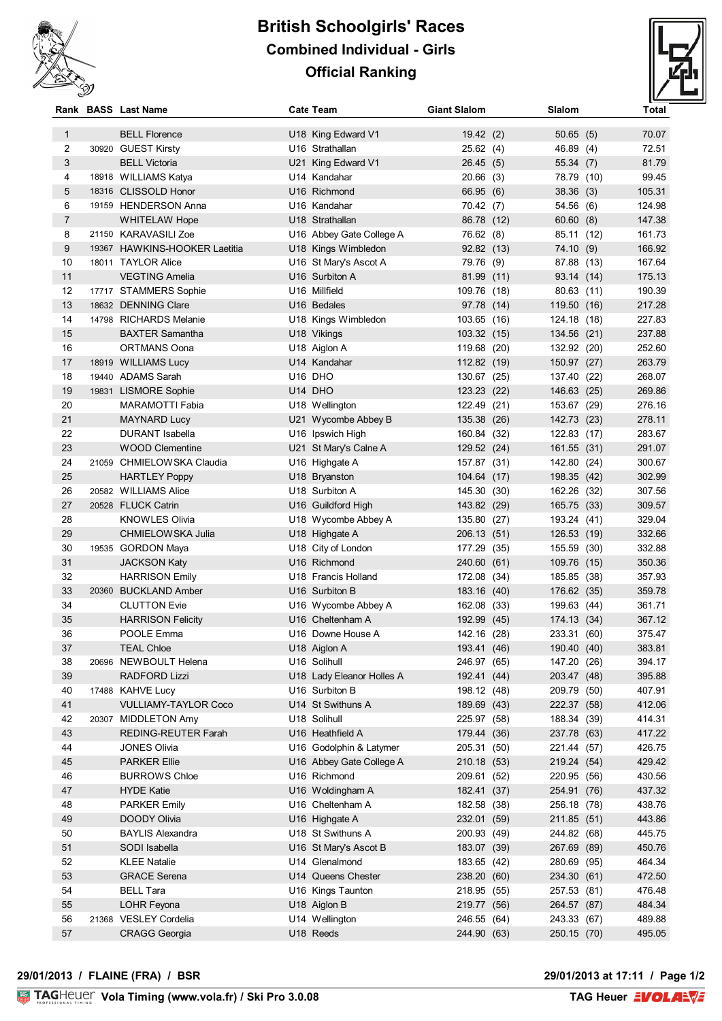

## **British Schoolgirls' Races Combined Individual - Girls Official Ranking**



|              | Rank BASS Last Name           | <b>Cate Team</b>          | <b>Giant Slalom</b> | Slalom              | Total  |
|--------------|-------------------------------|---------------------------|---------------------|---------------------|--------|
| $\mathbf{1}$ | <b>BELL Florence</b>          | U18 King Edward V1        | 19.42(2)            | 50.65(5)            | 70.07  |
| 2            | 30920 GUEST Kirsty            | U16 Strathallan           | 25.62(4)            | 46.89 (4)           | 72.51  |
| 3            | <b>BELL Victoria</b>          | U21 King Edward V1        | 26.45(5)            | 55.34(7)            | 81.79  |
| 4            | 18918 WILLIAMS Katya          | U14 Kandahar              | 20.66(3)            | 78.79 (10)          | 99.45  |
| 5            | 18316 CLISSOLD Honor          | U16 Richmond              | 66.95 (6)           | 38.36(3)            | 105.31 |
| 6            | 19159 HENDERSON Anna          | U16 Kandahar              | 70.42 (7)           | 54.56 (6)           | 124.98 |
| 7            | <b>WHITELAW Hope</b>          | U18 Strathallan           | 86.78 (12)          | 60.60(8)            | 147.38 |
| 8            | 21150 KARAVASILI Zoe          | U16 Abbey Gate College A  | 76.62 (8)           | 85.11 (12)          | 161.73 |
| 9            | 19367 HAWKINS-HOOKER Laetitia | U18 Kings Wimbledon       | 92.82 (13)          | 74.10 (9)           | 166.92 |
| 10           | 18011 TAYLOR Alice            | U16 St Mary's Ascot A     | 79.76 (9)           | 87.88 (13)          | 167.64 |
| 11           | <b>VEGTING Amelia</b>         | U16 Surbiton A            | 81.99 (11)          | 93.14 (14)          | 175.13 |
| 12           | 17717 STAMMERS Sophie         | U16 Millfield             | 109.76              | (18)<br>80.63 (11)  | 190.39 |
| 13           | 18632 DENNING Clare           | U16 Bedales               | 97.78 (14)          | 119.50 (16)         | 217.28 |
| 14           | 14798 RICHARDS Melanie        | U18 Kings Wimbledon       | 103.65 (16)         | 124.18 (18)         | 227.83 |
| 15           | <b>BAXTER Samantha</b>        | U18 Vikings               | 103.32 (15)         | 134.56 (21)         | 237.88 |
| 16           | <b>ORTMANS Oona</b>           | U18 Aiglon A              | 119.68 (20)         | 132.92 (20)         | 252.60 |
| 17           | 18919 WILLIAMS Lucy           | U14 Kandahar              | 112.82 (19)         | 150.97 (27)         | 263.79 |
| 18           | 19440 ADAMS Sarah             | U16 DHO                   | 130.67 (25)         | 137.40 (22)         | 268.07 |
| 19           | 19831 LISMORE Sophie          | U14 DHO                   | 123.23 (22)         | 146.63 (25)         | 269.86 |
| 20           | MARAMOTTI Fabia               | U18 Wellington            | 122.49 (21)         | 153.67 (29)         | 276.16 |
| 21           | <b>MAYNARD Lucy</b>           | U21 Wycombe Abbey B       | 135.38 (26)         | 142.73 (23)         | 278.11 |
| 22           | <b>DURANT Isabella</b>        | U16 Ipswich High          | 160.84 (32)         | 122.83 (17)         | 283.67 |
| 23           | <b>WOOD Clementine</b>        | U21 St Mary's Calne A     | 129.52 (24)         | 161.55 (31)         | 291.07 |
| 24           | 21059 CHMIELOWSKA Claudia     | U16 Highgate A            | 157.87 (31)         | 142.80 (24)         | 300.67 |
| 25           | <b>HARTLEY Poppy</b>          | U18 Bryanston             | 104.64 (17)         | 198.35 (42)         | 302.99 |
| 26           | 20582 WILLIAMS Alice          | U18 Surbiton A            | 145.30 (30)         | 162.26 (32)         | 307.56 |
| 27           | 20528 FLUCK Catrin            | U16 Guildford High        | 143.82 (29)         | 165.75 (33)         | 309.57 |
| 28           | <b>KNOWLES Olivia</b>         | U18 Wycombe Abbey A       | 135.80 (27)         | 193.24 (41)         | 329.04 |
| 29           | CHMIELOWSKA Julia             | U18 Highgate A            | 206.13 (51)         | 126.53 (19)         | 332.66 |
| 30           | 19535 GORDON Maya             | U18 City of London        | 177.29 (35)         | 155.59 (30)         | 332.88 |
| 31           | <b>JACKSON Katy</b>           | U16 Richmond              | 240.60 (61)         | 109.76 (15)         | 350.36 |
| 32           | <b>HARRISON Emily</b>         | U18 Francis Holland       | 172.08              | (34)<br>185.85 (38) | 357.93 |
| 33           | 20360 BUCKLAND Amber          | U16 Surbiton B            | 183.16 (40)         | 176.62 (35)         | 359.78 |
| 34           | <b>CLUTTON Evie</b>           | U16 Wycombe Abbey A       | 162.08 (33)         | 199.63 (44)         | 361.71 |
| 35           | <b>HARRISON Felicity</b>      | U16 Cheltenham A          | 192.99              | 174.13 (34)<br>(45) | 367.12 |
| 36           | POOLE Emma                    | U16 Downe House A         | 142.16 (28)         | 233.31 (60)         | 375.47 |
| 37           | <b>TEAL Chloe</b>             | U18 Aiglon A              | 193.41 (46)         | 190.40 (40)         | 383.81 |
| 38           | 20696 NEW BOULT Helena        | U16 Solihull              | 246.97 (65)         | 147.20 (26)         | 394.17 |
| 39           | RADFORD Lizzi                 | U18 Lady Eleanor Holles A | 192.41 (44)         | 203.47 (48)         | 395.88 |
| 40           | 17488 KAHVE Lucy              | U16 Surbiton B            | 198.12 (48)         | 209.79 (50)         | 407.91 |
| 41           | <b>VULLIAMY-TAYLOR Coco</b>   | U14 St Swithuns A         | 189.69 (43)         | 222.37 (58)         | 412.06 |
| 42           | 20307 MIDDLETON Amy           | U18 Solihull              | 225.97 (58)         | 188.34 (39)         | 414.31 |
| 43           | <b>REDING-REUTER Farah</b>    | U16 Heathfield A          | 179.44 (36)         | 237.78 (63)         | 417.22 |
| 44           | <b>JONES Olivia</b>           | U16 Godolphin & Latymer   | 205.31 (50)         | 221.44 (57)         | 426.75 |
| 45           | <b>PARKER Ellie</b>           | U16 Abbey Gate College A  | 210.18 (53)         | 219.24 (54)         | 429.42 |
| 46           | <b>BURROWS Chloe</b>          | U16 Richmond              | 209.61 (52)         | 220.95 (56)         | 430.56 |
| 47           | <b>HYDE Katie</b>             | U16 Woldingham A          | 182.41 (37)         | 254.91 (76)         | 437.32 |
| 48           | <b>PARKER Emily</b>           | U16 Cheltenham A          | 182.58 (38)         | 256.18 (78)         | 438.76 |
| 49           | <b>DOODY Olivia</b>           | U16 Highgate A            | 232.01 (59)         | 211.85 (51)         | 443.86 |
| 50           | <b>BAYLIS Alexandra</b>       | U18 St Swithuns A         | 200.93 (49)         | 244.82 (68)         | 445.75 |
| 51           | SODI Isabella                 | U16 St Mary's Ascot B     | 183.07 (39)         | 267.69 (89)         | 450.76 |
| 52           | <b>KLEE Natalie</b>           | U14 Glenalmond            | 183.65 (42)         | 280.69 (95)         | 464.34 |
| 53           | <b>GRACE Serena</b>           | U14 Queens Chester        | 238.20 (60)         | 234.30 (61)         | 472.50 |
| 54           | <b>BELL Tara</b>              | U16 Kings Taunton         | 218.95 (55)         | 257.53 (81)         | 476.48 |
| 55           | LOHR Feyona                   | U18 Aiglon B              | 219.77 (56)         | 264.57 (87)         | 484.34 |
| 56           | 21368 VESLEY Cordelia         | U14 Wellington            | 246.55 (64)         | 243.33 (67)         | 489.88 |
| 57           | <b>CRAGG Georgia</b>          | U18 Reeds                 | 244.90 (63)         | 250.15 (70)         | 495.05 |
|              |                               |                           |                     |                     |        |